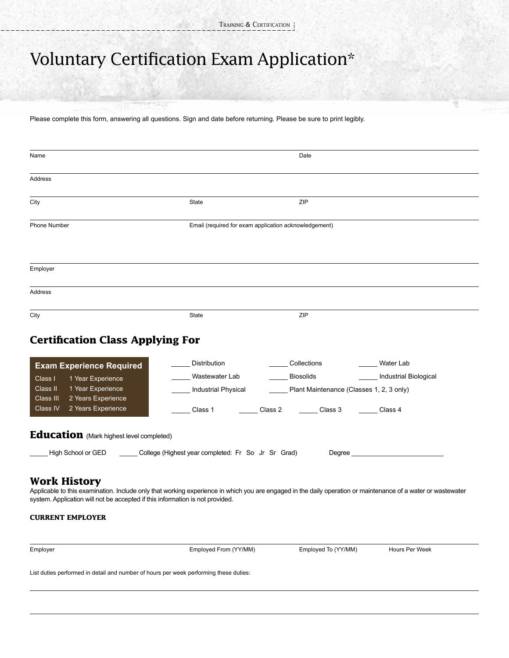## Voluntary Certification Exam Application\*

Please complete this form, answering all questions. Sign and date before returning. Please be sure to print legibly.

| Name                                                                                                                                                                                                                                                                                            |                                                                  | Date                                                                                            |                                    |  |  |  |
|-------------------------------------------------------------------------------------------------------------------------------------------------------------------------------------------------------------------------------------------------------------------------------------------------|------------------------------------------------------------------|-------------------------------------------------------------------------------------------------|------------------------------------|--|--|--|
| Address                                                                                                                                                                                                                                                                                         |                                                                  |                                                                                                 |                                    |  |  |  |
| City                                                                                                                                                                                                                                                                                            | State                                                            | ZIP                                                                                             |                                    |  |  |  |
| Phone Number                                                                                                                                                                                                                                                                                    | Email (required for exam application acknowledgement)            |                                                                                                 |                                    |  |  |  |
| Employer                                                                                                                                                                                                                                                                                        |                                                                  |                                                                                                 |                                    |  |  |  |
| Address                                                                                                                                                                                                                                                                                         |                                                                  |                                                                                                 |                                    |  |  |  |
| City                                                                                                                                                                                                                                                                                            | State                                                            | ZIP                                                                                             |                                    |  |  |  |
| <b>Certification Class Applying For</b><br><b>Exam Experience Required</b><br>1 Year Experience<br>Class I<br>1 Year Experience<br>Class II<br>2 Years Experience<br>Class III<br>2 Years Experience<br>Class IV                                                                                | Distribution<br>Wastewater Lab<br>Industrial Physical<br>Class 1 | Collections<br>Biosolids<br>Plant Maintenance (Classes 1, 2, 3 only)<br>Class 2 Class 3 Class 4 | Water Lab<br>Industrial Biological |  |  |  |
| <b>Education</b> (Mark highest level completed)<br>High School or GED ________ College (Highest year completed: Fr So Jr Sr Grad)<br><b>Degree Example</b>                                                                                                                                      |                                                                  |                                                                                                 |                                    |  |  |  |
| <b>Work History</b><br>Applicable to this examination. Include only that working experience in which you are engaged in the daily operation or maintenance of a water or wastewater<br>system. Application will not be accepted if this information is not provided.<br><b>CURRENT EMPLOYER</b> |                                                                  |                                                                                                 |                                    |  |  |  |
| Employer                                                                                                                                                                                                                                                                                        | Employed From (YY/MM)                                            | Employed To (YY/MM)                                                                             | Hours Per Week                     |  |  |  |

List duties performed in detail and number of hours per week performing these duties: